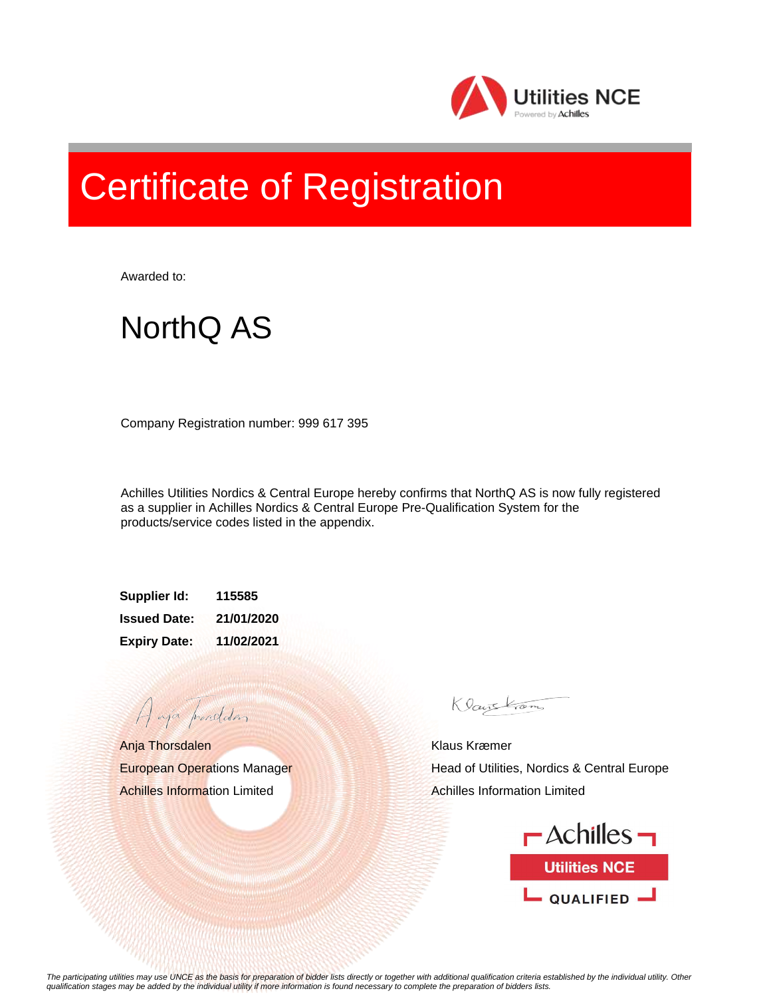

## Certificate of Registration

Awarded to:

## NorthQ AS

Company Registration number: 999 617 395

Achilles Utilities Nordics & Central Europe hereby confirms that NorthQ AS is now fully registered as a supplier in Achilles Nordics & Central Europe Pre-Qualification System for the products/service codes listed in the appendix.

**Supplier Id: 115585 Issued Date: 21/01/2020 Expiry Date: 11/02/2021**

Anja Thorsdalen European Operations Manager Achilles Information Limited

A aja providdan

Klauskam

Klaus Kræmer Head of Utilities, Nordics & Central Europe Achilles Information Limited



*The participating utilities may use UNCE as the basis for preparation of bidder lists directly or together with additional qualification criteria established by the individual utility. Other qualification stages may be added by the individual utility if more information is found necessary to complete the preparation of bidders lists.*